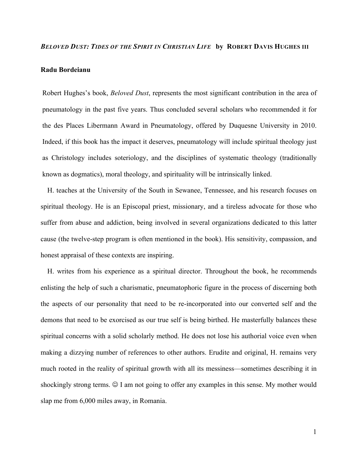#### *BELOVED DUST: TIDES OF THE SPIRIT IN CHRISTIAN LIFE* **by ROBERT DAVIS HUGHES III**

### **Radu Bordeianu**

Robert Hughes's book, *Beloved Dust*, represents the most significant contribution in the area of pneumatology in the past five years. Thus concluded several scholars who recommended it for the des Places Libermann Award in Pneumatology, offered by Duquesne University in 2010. Indeed, if this book has the impact it deserves, pneumatology will include spiritual theology just as Christology includes soteriology, and the disciplines of systematic theology (traditionally known as dogmatics), moral theology, and spirituality will be intrinsically linked.

H. teaches at the University of the South in Sewanee, Tennessee, and his research focuses on spiritual theology. He is an Episcopal priest, missionary, and a tireless advocate for those who suffer from abuse and addiction, being involved in several organizations dedicated to this latter cause (the twelve-step program is often mentioned in the book). His sensitivity, compassion, and honest appraisal of these contexts are inspiring.

H. writes from his experience as a spiritual director. Throughout the book, he recommends enlisting the help of such a charismatic, pneumatophoric figure in the process of discerning both the aspects of our personality that need to be re-incorporated into our converted self and the demons that need to be exorcised as our true self is being birthed. He masterfully balances these spiritual concerns with a solid scholarly method. He does not lose his authorial voice even when making a dizzying number of references to other authors. Erudite and original, H. remains very much rooted in the reality of spiritual growth with all its messiness—sometimes describing it in shockingly strong terms.  $\odot$  I am not going to offer any examples in this sense. My mother would slap me from 6,000 miles away, in Romania.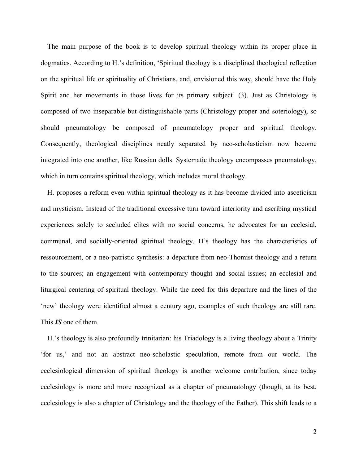The main purpose of the book is to develop spiritual theology within its proper place in dogmatics. According to H.'s definition, 'Spiritual theology is a disciplined theological reflection on the spiritual life or spirituality of Christians, and, envisioned this way, should have the Holy Spirit and her movements in those lives for its primary subject' (3). Just as Christology is composed of two inseparable but distinguishable parts (Christology proper and soteriology), so should pneumatology be composed of pneumatology proper and spiritual theology. Consequently, theological disciplines neatly separated by neo-scholasticism now become integrated into one another, like Russian dolls. Systematic theology encompasses pneumatology, which in turn contains spiritual theology, which includes moral theology.

H. proposes a reform even within spiritual theology as it has become divided into asceticism and mysticism. Instead of the traditional excessive turn toward interiority and ascribing mystical experiences solely to secluded elites with no social concerns, he advocates for an ecclesial, communal, and socially-oriented spiritual theology. H's theology has the characteristics of ressourcement, or a neo-patristic synthesis: a departure from neo-Thomist theology and a return to the sources; an engagement with contemporary thought and social issues; an ecclesial and liturgical centering of spiritual theology. While the need for this departure and the lines of the 'new' theology were identified almost a century ago, examples of such theology are still rare. This *IS* one of them.

H.'s theology is also profoundly trinitarian: his Triadology is a living theology about a Trinity 'for us,' and not an abstract neo-scholastic speculation, remote from our world. The ecclesiological dimension of spiritual theology is another welcome contribution, since today ecclesiology is more and more recognized as a chapter of pneumatology (though, at its best, ecclesiology is also a chapter of Christology and the theology of the Father). This shift leads to a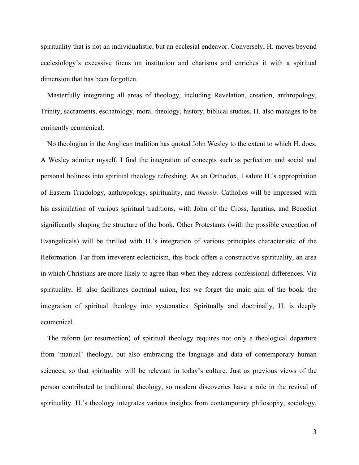spirituality that is not an individualistic, but an ecclesial endeavor. Conversely, H. moves beyond ecclesiology's excessive focus on institution and charisms and enriches it with a spiritual dimension that has been forgotten.

Masterfully integrating all areas of theology, including Revelation, creation, anthropology, Trinity, sacraments, eschatology, moral theology, history, biblical studies, H. also manages to be eminently ecumenical.

No theologian in the Anglican tradition has quoted John Wesley to the extent to which H. does. A Wesley admirer myself, I find the integration of concepts such as perfection and social and personal holiness into spiritual theology refreshing. As an Orthodox, I salute H.'s appropriation of Eastern Triadology, anthropology, spirituality, and *theosis*. Catholics will be impressed with his assimilation of various spiritual traditions, with John of the Cross, Ignatius, and Benedict significantly shaping the structure of the book. Other Protestants (with the possible exception of Evangelicals) will be thrilled with H.'s integration of various principles characteristic of the Reformation. Far from irreverent eclecticism, this book offers a constructive spirituality, an area in which Christians are more likely to agree than when they address confessional differences. Via spirituality, H. also facilitates doctrinal union, lest we forget the main aim of the book: the integration of spiritual theology into systematics. Spiritually and doctrinally, H. is deeply ecumenical.

The reform (or resurrection) of spiritual theology requires not only a theological departure from 'manual' theology, but also embracing the language and data of contemporary human sciences, so that spirituality will be relevant in today's culture. Just as previous views of the person contributed to traditional theology, so modern discoveries have a role in the revival of spirituality. H.'s theology integrates various insights from contemporary philosophy, sociology,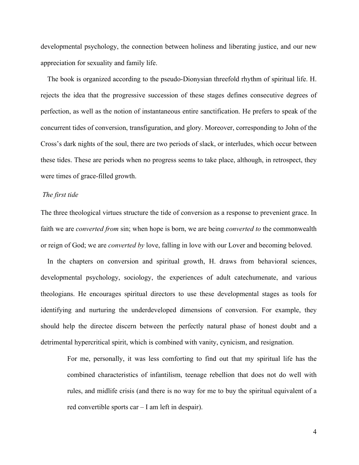developmental psychology, the connection between holiness and liberating justice, and our new appreciation for sexuality and family life.

The book is organized according to the pseudo-Dionysian threefold rhythm of spiritual life. H. rejects the idea that the progressive succession of these stages defines consecutive degrees of perfection, as well as the notion of instantaneous entire sanctification. He prefers to speak of the concurrent tides of conversion, transfiguration, and glory. Moreover, corresponding to John of the Cross's dark nights of the soul, there are two periods of slack, or interludes, which occur between these tides. These are periods when no progress seems to take place, although, in retrospect, they were times of grace-filled growth.

# *The first tide*

The three theological virtues structure the tide of conversion as a response to prevenient grace. In faith we are *converted from* sin; when hope is born, we are being *converted to* the commonwealth or reign of God; we are *converted by* love, falling in love with our Lover and becoming beloved.

In the chapters on conversion and spiritual growth, H. draws from behavioral sciences, developmental psychology, sociology, the experiences of adult catechumenate, and various theologians. He encourages spiritual directors to use these developmental stages as tools for identifying and nurturing the underdeveloped dimensions of conversion. For example, they should help the directee discern between the perfectly natural phase of honest doubt and a detrimental hypercritical spirit, which is combined with vanity, cynicism, and resignation.

For me, personally, it was less comforting to find out that my spiritual life has the combined characteristics of infantilism, teenage rebellion that does not do well with rules, and midlife crisis (and there is no way for me to buy the spiritual equivalent of a red convertible sports car – I am left in despair).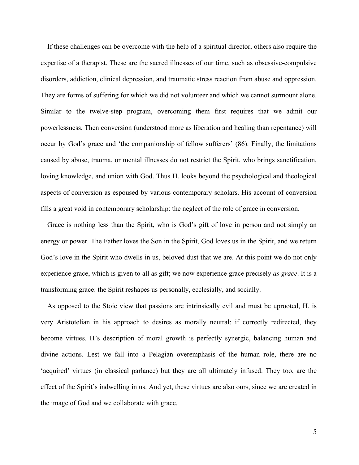If these challenges can be overcome with the help of a spiritual director, others also require the expertise of a therapist. These are the sacred illnesses of our time, such as obsessive-compulsive disorders, addiction, clinical depression, and traumatic stress reaction from abuse and oppression. They are forms of suffering for which we did not volunteer and which we cannot surmount alone. Similar to the twelve-step program, overcoming them first requires that we admit our powerlessness. Then conversion (understood more as liberation and healing than repentance) will occur by God's grace and 'the companionship of fellow sufferers' (86). Finally, the limitations caused by abuse, trauma, or mental illnesses do not restrict the Spirit, who brings sanctification, loving knowledge, and union with God. Thus H. looks beyond the psychological and theological aspects of conversion as espoused by various contemporary scholars. His account of conversion fills a great void in contemporary scholarship: the neglect of the role of grace in conversion.

Grace is nothing less than the Spirit, who is God's gift of love in person and not simply an energy or power. The Father loves the Son in the Spirit, God loves us in the Spirit, and we return God's love in the Spirit who dwells in us, beloved dust that we are. At this point we do not only experience grace, which is given to all as gift; we now experience grace precisely *as grace*. It is a transforming grace: the Spirit reshapes us personally, ecclesially, and socially.

As opposed to the Stoic view that passions are intrinsically evil and must be uprooted, H. is very Aristotelian in his approach to desires as morally neutral: if correctly redirected, they become virtues. H's description of moral growth is perfectly synergic, balancing human and divine actions. Lest we fall into a Pelagian overemphasis of the human role, there are no 'acquired' virtues (in classical parlance) but they are all ultimately infused. They too, are the effect of the Spirit's indwelling in us. And yet, these virtues are also ours, since we are created in the image of God and we collaborate with grace.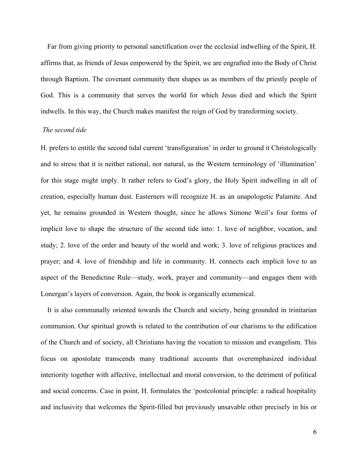Far from giving priority to personal sanctification over the ecclesial indwelling of the Spirit, H. affirms that, as friends of Jesus empowered by the Spirit, we are engrafted into the Body of Christ through Baptism. The covenant community then shapes us as members of the priestly people of God. This is a community that serves the world for which Jesus died and which the Spirit indwells. In this way, the Church makes manifest the reign of God by transforming society.

## *The second tide*

H. prefers to entitle the second tidal current 'transfiguration' in order to ground it Christologically and to stress that it is neither rational, nor natural, as the Western terminology of 'illumination' for this stage might imply. It rather refers to God's glory, the Holy Spirit indwelling in all of creation, especially human dust. Easterners will recognize H. as an unapologetic Palamite. And yet, he remains grounded in Western thought, since he allows Simone Weil's four forms of implicit love to shape the structure of the second tide into: 1. love of neighbor, vocation, and study; 2. love of the order and beauty of the world and work; 3. love of religious practices and prayer; and 4. love of friendship and life in community. H. connects each implicit love to an aspect of the Benedictine Rule—study, work, prayer and community—and engages them with Lonergan's layers of conversion. Again, the book is organically ecumenical.

It is also communally oriented towards the Church and society, being grounded in trinitarian communion. Our spiritual growth is related to the contribution of our charisms to the edification of the Church and of society, all Christians having the vocation to mission and evangelism. This focus on apostolate transcends many traditional accounts that overemphasized individual interiority together with affective, intellectual and moral conversion, to the detriment of political and social concerns. Case in point, H. formulates the 'postcolonial principle: a radical hospitality and inclusivity that welcomes the Spirit-filled but previously unsavable other precisely in his or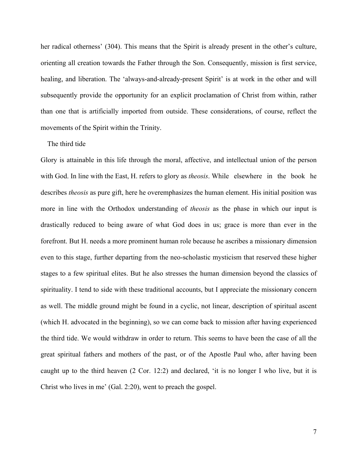her radical otherness' (304). This means that the Spirit is already present in the other's culture, orienting all creation towards the Father through the Son. Consequently, mission is first service, healing, and liberation. The 'always-and-already-present Spirit' is at work in the other and will subsequently provide the opportunity for an explicit proclamation of Christ from within, rather than one that is artificially imported from outside. These considerations, of course, reflect the movements of the Spirit within the Trinity.

## The third tide

Glory is attainable in this life through the moral, affective, and intellectual union of the person with God. In line with the East, H. refers to glory as *theosis*. While elsewhere in the book he describes *theosis* as pure gift, here he overemphasizes the human element. His initial position was more in line with the Orthodox understanding of *theosis* as the phase in which our input is drastically reduced to being aware of what God does in us; grace is more than ever in the forefront. But H. needs a more prominent human role because he ascribes a missionary dimension even to this stage, further departing from the neo-scholastic mysticism that reserved these higher stages to a few spiritual elites. But he also stresses the human dimension beyond the classics of spirituality. I tend to side with these traditional accounts, but I appreciate the missionary concern as well. The middle ground might be found in a cyclic, not linear, description of spiritual ascent (which H. advocated in the beginning), so we can come back to mission after having experienced the third tide. We would withdraw in order to return. This seems to have been the case of all the great spiritual fathers and mothers of the past, or of the Apostle Paul who, after having been caught up to the third heaven (2 Cor. 12:2) and declared, 'it is no longer I who live, but it is Christ who lives in me' (Gal. 2:20), went to preach the gospel.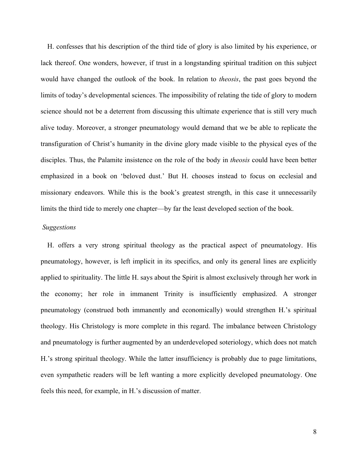H. confesses that his description of the third tide of glory is also limited by his experience, or lack thereof. One wonders, however, if trust in a longstanding spiritual tradition on this subject would have changed the outlook of the book. In relation to *theosis*, the past goes beyond the limits of today's developmental sciences. The impossibility of relating the tide of glory to modern science should not be a deterrent from discussing this ultimate experience that is still very much alive today. Moreover, a stronger pneumatology would demand that we be able to replicate the transfiguration of Christ's humanity in the divine glory made visible to the physical eyes of the disciples. Thus, the Palamite insistence on the role of the body in *theosis* could have been better emphasized in a book on 'beloved dust.' But H. chooses instead to focus on ecclesial and missionary endeavors. While this is the book's greatest strength, in this case it unnecessarily limits the third tide to merely one chapter—by far the least developed section of the book.

## *Suggestions*

H. offers a very strong spiritual theology as the practical aspect of pneumatology. His pneumatology, however, is left implicit in its specifics, and only its general lines are explicitly applied to spirituality. The little H. says about the Spirit is almost exclusively through her work in the economy; her role in immanent Trinity is insufficiently emphasized. A stronger pneumatology (construed both immanently and economically) would strengthen H.'s spiritual theology. His Christology is more complete in this regard. The imbalance between Christology and pneumatology is further augmented by an underdeveloped soteriology, which does not match H.'s strong spiritual theology. While the latter insufficiency is probably due to page limitations, even sympathetic readers will be left wanting a more explicitly developed pneumatology. One feels this need, for example, in H.'s discussion of matter.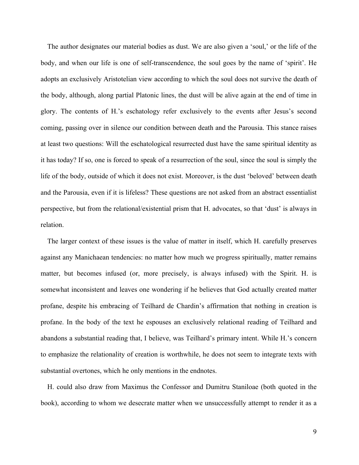The author designates our material bodies as dust. We are also given a 'soul,' or the life of the body, and when our life is one of self-transcendence, the soul goes by the name of 'spirit'. He adopts an exclusively Aristotelian view according to which the soul does not survive the death of the body, although, along partial Platonic lines, the dust will be alive again at the end of time in glory. The contents of H.'s eschatology refer exclusively to the events after Jesus's second coming, passing over in silence our condition between death and the Parousia. This stance raises at least two questions: Will the eschatological resurrected dust have the same spiritual identity as it has today? If so, one is forced to speak of a resurrection of the soul, since the soul is simply the life of the body, outside of which it does not exist. Moreover, is the dust 'beloved' between death and the Parousia, even if it is lifeless? These questions are not asked from an abstract essentialist perspective, but from the relational/existential prism that H. advocates, so that 'dust' is always in relation.

The larger context of these issues is the value of matter in itself, which H. carefully preserves against any Manichaean tendencies: no matter how much we progress spiritually, matter remains matter, but becomes infused (or, more precisely, is always infused) with the Spirit. H. is somewhat inconsistent and leaves one wondering if he believes that God actually created matter profane, despite his embracing of Teilhard de Chardin's affirmation that nothing in creation is profane. In the body of the text he espouses an exclusively relational reading of Teilhard and abandons a substantial reading that, I believe, was Teilhard's primary intent. While H.'s concern to emphasize the relationality of creation is worthwhile, he does not seem to integrate texts with substantial overtones, which he only mentions in the endnotes.

H. could also draw from Maximus the Confessor and Dumitru Staniloae (both quoted in the book), according to whom we desecrate matter when we unsuccessfully attempt to render it as a